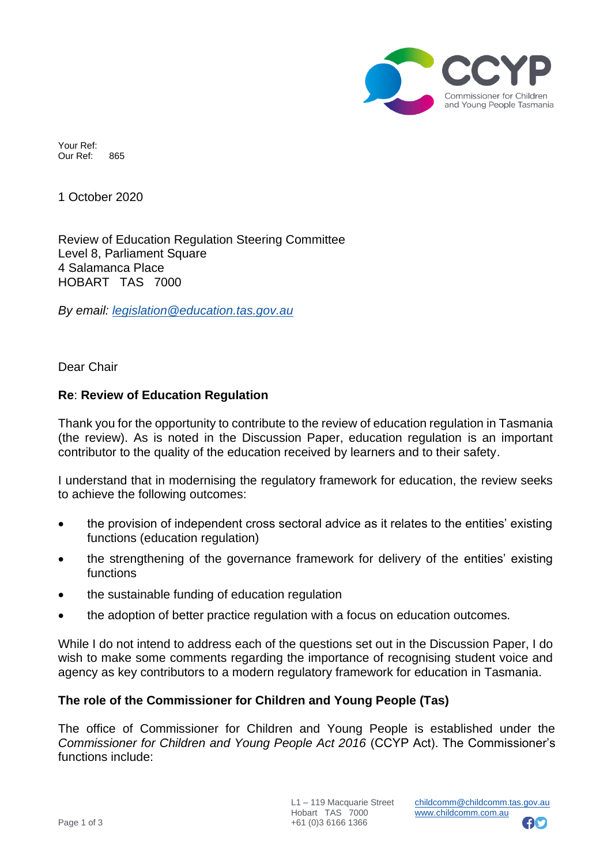

Your Ref: Our Ref: 865

1 October 2020

Review of Education Regulation Steering Committee Level 8, Parliament Square 4 Salamanca Place HOBART TAS 7000

*By email: [legislation@education.tas.gov.au](mailto:legislation@education.tas.gov.au)*

Dear Chair

## **Re**: **Review of Education Regulation**

Thank you for the opportunity to contribute to the review of education regulation in Tasmania (the review). As is noted in the Discussion Paper, education regulation is an important contributor to the quality of the education received by learners and to their safety.

I understand that in modernising the regulatory framework for education, the review seeks to achieve the following outcomes:

- the provision of independent cross sectoral advice as it relates to the entities' existing functions (education regulation)
- the strengthening of the governance framework for delivery of the entities' existing functions
- the sustainable funding of education regulation
- the adoption of better practice regulation with a focus on education outcomes.

While I do not intend to address each of the questions set out in the Discussion Paper, I do wish to make some comments regarding the importance of recognising student voice and agency as key contributors to a modern regulatory framework for education in Tasmania.

## **The role of the Commissioner for Children and Young People (Tas)**

The office of Commissioner for Children and Young People is established under the *Commissioner for Children and Young People Act 2016* (CCYP Act). The Commissioner's functions include:

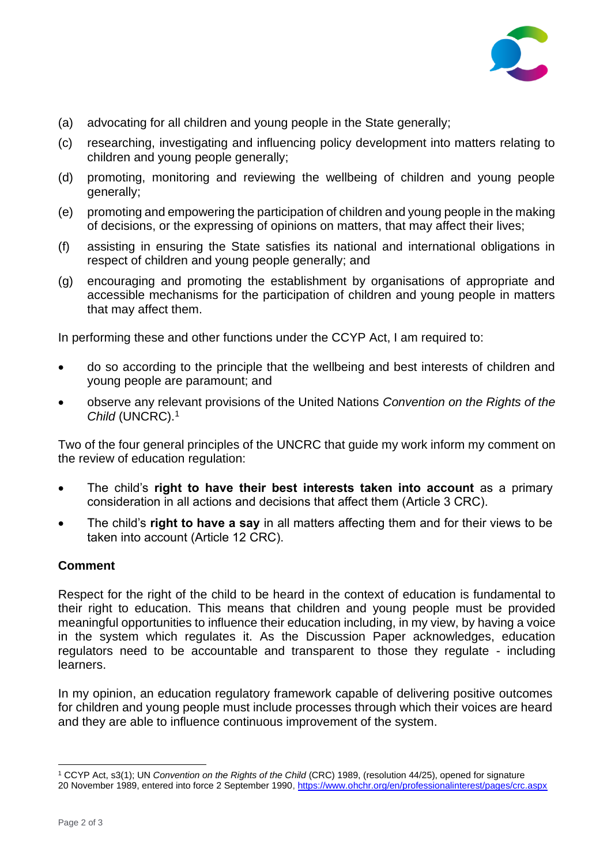

- (a) advocating for all children and young people in the State generally;
- (c) researching, investigating and influencing policy development into matters relating to children and young people generally;
- (d) promoting, monitoring and reviewing the wellbeing of children and young people generally;
- (e) promoting and empowering the participation of children and young people in the making of decisions, or the expressing of opinions on matters, that may affect their lives;
- (f) assisting in ensuring the State satisfies its national and international obligations in respect of children and young people generally; and
- (g) encouraging and promoting the establishment by organisations of appropriate and accessible mechanisms for the participation of children and young people in matters that may affect them.

In performing these and other functions under the CCYP Act, I am required to:

- do so according to the principle that the wellbeing and best interests of children and young people are paramount; and
- observe any relevant provisions of the United Nations *Convention on the Rights of the Child* (UNCRC).<sup>1</sup>

Two of the four general principles of the UNCRC that guide my work inform my comment on the review of education regulation:

- The child's **right to have their best interests taken into account** as a primary consideration in all actions and decisions that affect them (Article 3 CRC).
- The child's **right to have a say** in all matters affecting them and for their views to be taken into account (Article 12 CRC).

## **Comment**

Respect for the right of the child to be heard in the context of education is fundamental to their right to education. This means that children and young people must be provided meaningful opportunities to influence their education including, in my view, by having a voice in the system which regulates it. As the Discussion Paper acknowledges, education regulators need to be accountable and transparent to those they regulate - including learners.

In my opinion, an education regulatory framework capable of delivering positive outcomes for children and young people must include processes through which their voices are heard and they are able to influence continuous improvement of the system.

<sup>1</sup> CCYP Act, s3(1); UN *Convention on the Rights of the Child* (CRC) 1989, (resolution 44/25), opened for signature 20 November 1989, entered into force 2 September 1990, <https://www.ohchr.org/en/professionalinterest/pages/crc.aspx>